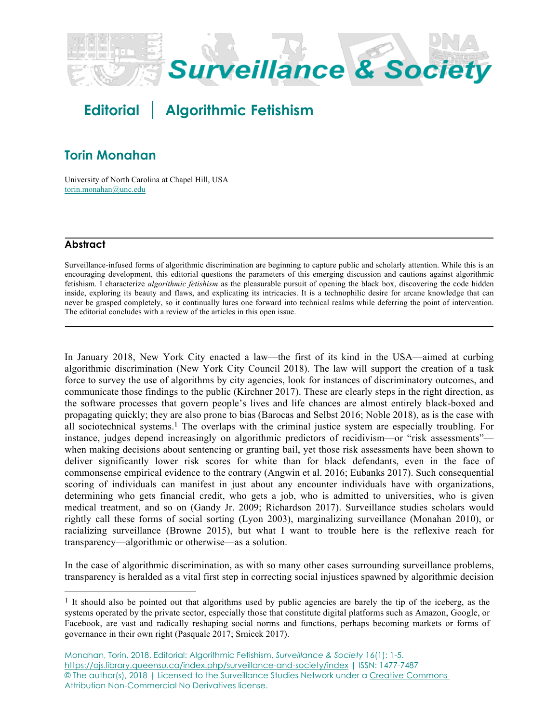

# **Editorial Algorithmic Fetishism**

## **Torin Monahan**

University of North Carolina at Chapel Hill, USA torin.monahan@unc.edu

### **Abstract**

Surveillance-infused forms of algorithmic discrimination are beginning to capture public and scholarly attention. While this is an encouraging development, this editorial questions the parameters of this emerging discussion and cautions against algorithmic fetishism. I characterize *algorithmic fetishism* as the pleasurable pursuit of opening the black box, discovering the code hidden inside, exploring its beauty and flaws, and explicating its intricacies. It is a technophilic desire for arcane knowledge that can never be grasped completely, so it continually lures one forward into technical realms while deferring the point of intervention. The editorial concludes with a review of the articles in this open issue.

In January 2018, New York City enacted a law—the first of its kind in the USA—aimed at curbing algorithmic discrimination (New York City Council 2018). The law will support the creation of a task force to survey the use of algorithms by city agencies, look for instances of discriminatory outcomes, and communicate those findings to the public (Kirchner 2017). These are clearly steps in the right direction, as the software processes that govern people's lives and life chances are almost entirely black-boxed and propagating quickly; they are also prone to bias (Barocas and Selbst 2016; Noble 2018), as is the case with all sociotechnical systems.1 The overlaps with the criminal justice system are especially troubling. For instance, judges depend increasingly on algorithmic predictors of recidivism—or "risk assessments" when making decisions about sentencing or granting bail, yet those risk assessments have been shown to deliver significantly lower risk scores for white than for black defendants, even in the face of commonsense empirical evidence to the contrary (Angwin et al. 2016; Eubanks 2017). Such consequential scoring of individuals can manifest in just about any encounter individuals have with organizations, determining who gets financial credit, who gets a job, who is admitted to universities, who is given medical treatment, and so on (Gandy Jr. 2009; Richardson 2017). Surveillance studies scholars would rightly call these forms of social sorting (Lyon 2003), marginalizing surveillance (Monahan 2010), or racializing surveillance (Browne 2015), but what I want to trouble here is the reflexive reach for transparency—algorithmic or otherwise—as a solution.

In the case of algorithmic discrimination, as with so many other cases surrounding surveillance problems, transparency is heralded as a vital first step in correcting social injustices spawned by algorithmic decision

<sup>&</sup>lt;sup>1</sup> It should also be pointed out that algorithms used by public agencies are barely the tip of the iceberg, as the systems operated by the private sector, especially those that constitute digital platforms such as Amazon, Google, or Facebook, are vast and radically reshaping social norms and functions, perhaps becoming markets or forms of governance in their own right (Pasquale 2017; Srnicek 2017).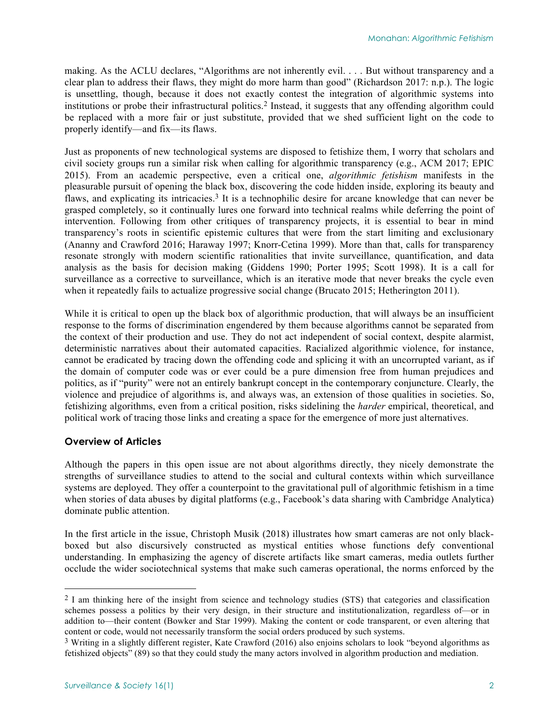making. As the ACLU declares, "Algorithms are not inherently evil. . . . But without transparency and a clear plan to address their flaws, they might do more harm than good" (Richardson 2017: n.p.). The logic is unsettling, though, because it does not exactly contest the integration of algorithmic systems into institutions or probe their infrastructural politics.2 Instead, it suggests that any offending algorithm could be replaced with a more fair or just substitute, provided that we shed sufficient light on the code to properly identify—and fix—its flaws.

Just as proponents of new technological systems are disposed to fetishize them, I worry that scholars and civil society groups run a similar risk when calling for algorithmic transparency (e.g., ACM 2017; EPIC 2015). From an academic perspective, even a critical one, *algorithmic fetishism* manifests in the pleasurable pursuit of opening the black box, discovering the code hidden inside, exploring its beauty and flaws, and explicating its intricacies.<sup>3</sup> It is a technophilic desire for arcane knowledge that can never be grasped completely, so it continually lures one forward into technical realms while deferring the point of intervention. Following from other critiques of transparency projects, it is essential to bear in mind transparency's roots in scientific epistemic cultures that were from the start limiting and exclusionary (Ananny and Crawford 2016; Haraway 1997; Knorr-Cetina 1999). More than that, calls for transparency resonate strongly with modern scientific rationalities that invite surveillance, quantification, and data analysis as the basis for decision making (Giddens 1990; Porter 1995; Scott 1998). It is a call for surveillance as a corrective to surveillance, which is an iterative mode that never breaks the cycle even when it repeatedly fails to actualize progressive social change (Brucato 2015; Hetherington 2011).

While it is critical to open up the black box of algorithmic production, that will always be an insufficient response to the forms of discrimination engendered by them because algorithms cannot be separated from the context of their production and use. They do not act independent of social context, despite alarmist, deterministic narratives about their automated capacities. Racialized algorithmic violence, for instance, cannot be eradicated by tracing down the offending code and splicing it with an uncorrupted variant, as if the domain of computer code was or ever could be a pure dimension free from human prejudices and politics, as if "purity" were not an entirely bankrupt concept in the contemporary conjuncture. Clearly, the violence and prejudice of algorithms is, and always was, an extension of those qualities in societies. So, fetishizing algorithms, even from a critical position, risks sidelining the *harder* empirical, theoretical, and political work of tracing those links and creating a space for the emergence of more just alternatives.

#### **Overview of Articles**

Although the papers in this open issue are not about algorithms directly, they nicely demonstrate the strengths of surveillance studies to attend to the social and cultural contexts within which surveillance systems are deployed. They offer a counterpoint to the gravitational pull of algorithmic fetishism in a time when stories of data abuses by digital platforms (e.g., Facebook's data sharing with Cambridge Analytica) dominate public attention.

In the first article in the issue, Christoph Musik (2018) illustrates how smart cameras are not only blackboxed but also discursively constructed as mystical entities whose functions defy conventional understanding. In emphasizing the agency of discrete artifacts like smart cameras, media outlets further occlude the wider sociotechnical systems that make such cameras operational, the norms enforced by the

<sup>&</sup>lt;sup>2</sup> I am thinking here of the insight from science and technology studies (STS) that categories and classification schemes possess a politics by their very design, in their structure and institutionalization, regardless of—or in addition to—their content (Bowker and Star 1999). Making the content or code transparent, or even altering that content or code, would not necessarily transform the social orders produced by such systems.

<sup>&</sup>lt;sup>3</sup> Writing in a slightly different register, Kate Crawford (2016) also enjoins scholars to look "beyond algorithms as fetishized objects" (89) so that they could study the many actors involved in algorithm production and mediation.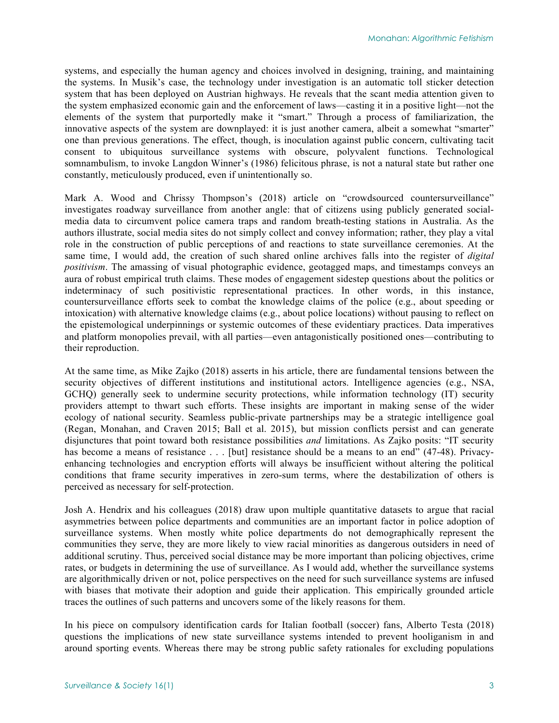systems, and especially the human agency and choices involved in designing, training, and maintaining the systems. In Musik's case, the technology under investigation is an automatic toll sticker detection system that has been deployed on Austrian highways. He reveals that the scant media attention given to the system emphasized economic gain and the enforcement of laws—casting it in a positive light—not the elements of the system that purportedly make it "smart." Through a process of familiarization, the innovative aspects of the system are downplayed: it is just another camera, albeit a somewhat "smarter" one than previous generations. The effect, though, is inoculation against public concern, cultivating tacit consent to ubiquitous surveillance systems with obscure, polyvalent functions. Technological somnambulism, to invoke Langdon Winner's (1986) felicitous phrase, is not a natural state but rather one constantly, meticulously produced, even if unintentionally so.

Mark A. Wood and Chrissy Thompson's (2018) article on "crowdsourced countersurveillance" investigates roadway surveillance from another angle: that of citizens using publicly generated socialmedia data to circumvent police camera traps and random breath-testing stations in Australia. As the authors illustrate, social media sites do not simply collect and convey information; rather, they play a vital role in the construction of public perceptions of and reactions to state surveillance ceremonies. At the same time, I would add, the creation of such shared online archives falls into the register of *digital positivism*. The amassing of visual photographic evidence, geotagged maps, and timestamps conveys an aura of robust empirical truth claims. These modes of engagement sidestep questions about the politics or indeterminacy of such positivistic representational practices. In other words, in this instance, countersurveillance efforts seek to combat the knowledge claims of the police (e.g., about speeding or intoxication) with alternative knowledge claims (e.g., about police locations) without pausing to reflect on the epistemological underpinnings or systemic outcomes of these evidentiary practices. Data imperatives and platform monopolies prevail, with all parties—even antagonistically positioned ones—contributing to their reproduction.

At the same time, as Mike Zajko (2018) asserts in his article, there are fundamental tensions between the security objectives of different institutions and institutional actors. Intelligence agencies (e.g., NSA, GCHQ) generally seek to undermine security protections, while information technology (IT) security providers attempt to thwart such efforts. These insights are important in making sense of the wider ecology of national security. Seamless public-private partnerships may be a strategic intelligence goal (Regan, Monahan, and Craven 2015; Ball et al. 2015), but mission conflicts persist and can generate disjunctures that point toward both resistance possibilities *and* limitations. As Zajko posits: "IT security has become a means of resistance . . . [but] resistance should be a means to an end" (47-48). Privacyenhancing technologies and encryption efforts will always be insufficient without altering the political conditions that frame security imperatives in zero-sum terms, where the destabilization of others is perceived as necessary for self-protection.

Josh A. Hendrix and his colleagues (2018) draw upon multiple quantitative datasets to argue that racial asymmetries between police departments and communities are an important factor in police adoption of surveillance systems. When mostly white police departments do not demographically represent the communities they serve, they are more likely to view racial minorities as dangerous outsiders in need of additional scrutiny. Thus, perceived social distance may be more important than policing objectives, crime rates, or budgets in determining the use of surveillance. As I would add, whether the surveillance systems are algorithmically driven or not, police perspectives on the need for such surveillance systems are infused with biases that motivate their adoption and guide their application. This empirically grounded article traces the outlines of such patterns and uncovers some of the likely reasons for them.

In his piece on compulsory identification cards for Italian football (soccer) fans, Alberto Testa (2018) questions the implications of new state surveillance systems intended to prevent hooliganism in and around sporting events. Whereas there may be strong public safety rationales for excluding populations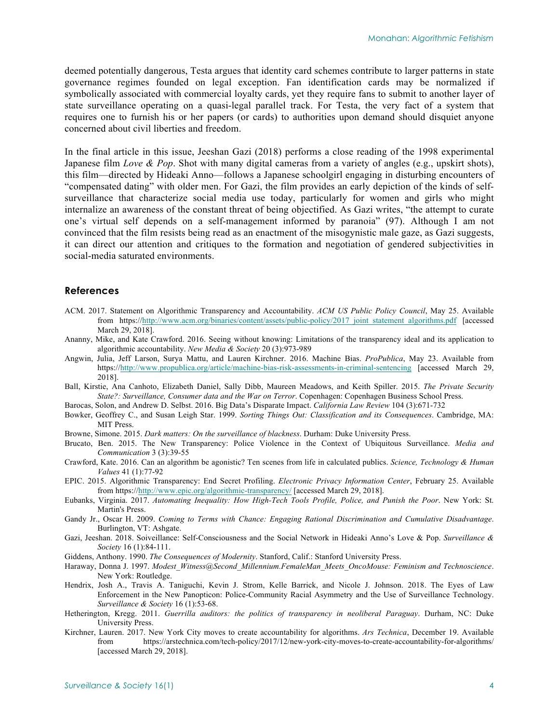deemed potentially dangerous, Testa argues that identity card schemes contribute to larger patterns in state governance regimes founded on legal exception. Fan identification cards may be normalized if symbolically associated with commercial loyalty cards, yet they require fans to submit to another layer of state surveillance operating on a quasi-legal parallel track. For Testa, the very fact of a system that requires one to furnish his or her papers (or cards) to authorities upon demand should disquiet anyone concerned about civil liberties and freedom.

In the final article in this issue, Jeeshan Gazi (2018) performs a close reading of the 1998 experimental Japanese film *Love & Pop*. Shot with many digital cameras from a variety of angles (e.g., upskirt shots), this film—directed by Hideaki Anno—follows a Japanese schoolgirl engaging in disturbing encounters of "compensated dating" with older men. For Gazi, the film provides an early depiction of the kinds of selfsurveillance that characterize social media use today, particularly for women and girls who might internalize an awareness of the constant threat of being objectified. As Gazi writes, "the attempt to curate one's virtual self depends on a self-management informed by paranoia" (97). Although I am not convinced that the film resists being read as an enactment of the misogynistic male gaze, as Gazi suggests, it can direct our attention and critiques to the formation and negotiation of gendered subjectivities in social-media saturated environments.

#### **References**

- ACM. 2017. Statement on Algorithmic Transparency and Accountability. *ACM US Public Policy Council*, May 25. Available from https://http://www.acm.org/binaries/content/assets/public-policy/2017 joint statement algorithms.pdf [accessed March 29, 2018].
- Ananny, Mike, and Kate Crawford. 2016. Seeing without knowing: Limitations of the transparency ideal and its application to algorithmic accountability. *New Media & Society* 20 (3):973-989
- Angwin, Julia, Jeff Larson, Surya Mattu, and Lauren Kirchner. 2016. Machine Bias. *ProPublica*, May 23. Available from https://http://www.propublica.org/article/machine-bias-risk-assessments-in-criminal-sentencing [accessed March 29, 2018].
- Ball, Kirstie, Ana Canhoto, Elizabeth Daniel, Sally Dibb, Maureen Meadows, and Keith Spiller. 2015. *The Private Security State?: Surveillance, Consumer data and the War on Terror*. Copenhagen: Copenhagen Business School Press.
- Barocas, Solon, and Andrew D. Selbst. 2016. Big Data's Disparate Impact. *California Law Review* 104 (3):671-732
- Bowker, Geoffrey C., and Susan Leigh Star. 1999. *Sorting Things Out: Classification and its Consequences*. Cambridge, MA: MIT Press.
- Browne, Simone. 2015. *Dark matters: On the surveillance of blackness*. Durham: Duke University Press.
- Brucato, Ben. 2015. The New Transparency: Police Violence in the Context of Ubiquitous Surveillance. *Media and Communication* 3 (3):39-55
- Crawford, Kate. 2016. Can an algorithm be agonistic? Ten scenes from life in calculated publics. *Science, Technology & Human Values* 41 (1):77-92
- EPIC. 2015. Algorithmic Transparency: End Secret Profiling. *Electronic Privacy Information Center*, February 25. Available from https://http://www.epic.org/algorithmic-transparency/ [accessed March 29, 2018].
- Eubanks, Virginia. 2017. *Automating Inequality: How High-Tech Tools Profile, Police, and Punish the Poor*. New York: St. Martin's Press.
- Gandy Jr., Oscar H. 2009. *Coming to Terms with Chance: Engaging Rational Discrimination and Cumulative Disadvantage*. Burlington, VT: Ashgate.
- Gazi, Jeeshan. 2018. Soiveillance: Self-Consciousness and the Social Network in Hideaki Anno's Love & Pop. *Surveillance & Society* 16 (1):84-111.
- Giddens, Anthony. 1990. *The Consequences of Modernity*. Stanford, Calif.: Stanford University Press.
- Haraway, Donna J. 1997. *Modest\_Witness@Second\_Millennium.FemaleMan\_Meets\_OncoMouse: Feminism and Technoscience*. New York: Routledge.
- Hendrix, Josh A., Travis A. Taniguchi, Kevin J. Strom, Kelle Barrick, and Nicole J. Johnson. 2018. The Eyes of Law Enforcement in the New Panopticon: Police-Community Racial Asymmetry and the Use of Surveillance Technology. *Surveillance & Society* 16 (1):53-68.
- Hetherington, Kregg. 2011. *Guerrilla auditors: the politics of transparency in neoliberal Paraguay*. Durham, NC: Duke University Press.
- Kirchner, Lauren. 2017. New York City moves to create accountability for algorithms. *Ars Technica*, December 19. Available from https://arstechnica.com/tech-policy/2017/12/new-york-city-moves-to-create-accountability-for-algorithms/ [accessed March 29, 2018].